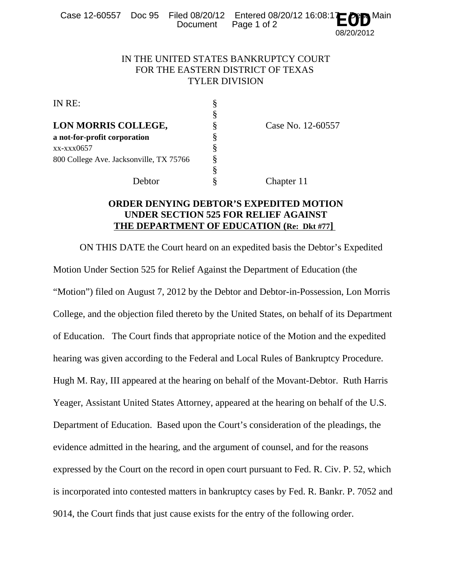|  | Document Page 1 of 2 | Case 12-60557 Doc 95 Filed 08/20/12 Entered 08/20/12 16:08:1 $\mathbf{E}\mathbf{\mathcal{O}}\mathbf{D}^{\mathsf{Main}}$ |
|--|----------------------|-------------------------------------------------------------------------------------------------------------------------|
|  |                      |                                                                                                                         |

## 08/20/2012

## IN THE UNITED STATES BANKRUPTCY COURT FOR THE EASTERN DISTRICT OF TEXAS TYLER DIVISION

|   | Case No. 12-60557 |
|---|-------------------|
|   |                   |
|   |                   |
|   |                   |
| § |                   |
|   | Chapter 11        |
|   |                   |

## **ORDER DENYING DEBTOR'S EXPEDITED MOTION UNDER SECTION 525 FOR RELIEF AGAINST THE DEPARTMENT OF EDUCATION (Re: Dkt #77]**

ON THIS DATE the Court heard on an expedited basis the Debtor's Expedited Motion Under Section 525 for Relief Against the Department of Education (the "Motion") filed on August 7, 2012 by the Debtor and Debtor-in-Possession, Lon Morris College, and the objection filed thereto by the United States, on behalf of its Department of Education. The Court finds that appropriate notice of the Motion and the expedited hearing was given according to the Federal and Local Rules of Bankruptcy Procedure. Hugh M. Ray, III appeared at the hearing on behalf of the Movant-Debtor. Ruth Harris Yeager, Assistant United States Attorney, appeared at the hearing on behalf of the U.S. Department of Education. Based upon the Court's consideration of the pleadings, the evidence admitted in the hearing, and the argument of counsel, and for the reasons expressed by the Court on the record in open court pursuant to Fed. R. Civ. P. 52, which is incorporated into contested matters in bankruptcy cases by Fed. R. Bankr. P. 7052 and 9014, the Court finds that just cause exists for the entry of the following order.